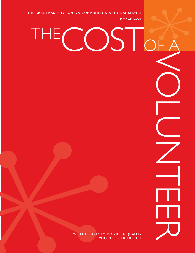THE GRANTMAKER FORUM ON COMMUNITY & NATIONAL SERVICE<br>
MARCH 2003 MARCH 2003

THE

COST

mWHAT IT TAKES TO PROVIDE A QUALITY VOLUNTEER EXPERIENCE VOLUNTEER

m

OF A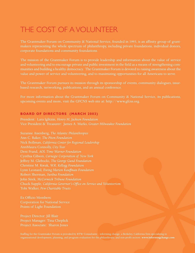# THE COST OF A VOLUNTEER

The Grantmaker Forum on Community & National Service, founded in 1993, is an affinity group of grantmakers representing the whole spectrum of philanthropy, including private foundations, individual donors, corporate foundations and community foundations.

The mission of the Grantmaker Forum is to provide leadership and information about the value of service and volunteering and to encourage private and public investment in the field as a means of strengthening communities and building a healthy democracy. The Grantmaker Forum is devoted to raising awareness about the value and power of service and volunteering, and to maximizing opportunities for all Americans to serve.

The Grantmaker Forum pursues its mission through its sponsorship of events, community dialogues, issuebased research, networking, publications, and an annual conference.

For more information about the Grantmaker Forum on Community  $\alpha$  National Service, its publications, upcoming events and more, visit the GFCNS web site at: http://www.gfcns.org.

### **BOARD OF DIRECTORS (MARCH 2003)**

President: Lara Iglitzin, *Henry M. Jackson Foundation* Vice President & Treasurer: James A. Marks, *Greater Milwaukee Foundation*

This sponsorship of events, community dialogues, issue-<br>nual conference.<br>
In on Community & National Service, its publications,<br>
the at: http://www.gfens.org.<br>
This Milwaukee Foundation<br>
This Milwaukee Foundation<br>
Property Suzanne Aisenberg, *The Atlantic Philanthropies* Nick Bollman, *California Center for Regional Leadership* AnnMaura Connolly, *City Year* Deni Frand, *AOL Time Warner Foundation* Cynthia Gibson, *Carnegie Corporation of New York* Jeffrey M. Glebocki, *The George Gund Foundation* Christine M. Kwak, *W.K. Kellogg Foundation* Lynn Leonard, *Ewing Marion Kauffman Foundation* Robert Sherman, *Surdna Foundation* John Sirek, *McCormick Tribune Foundation* Chuck Supple, *California Governor's Office on Service and Volunteerism* Tobi Walker, *Pew Charitable Trusts*

Ex Officio Members: Corporation for National Service Points of Light Foundation

Project Manager: Tina Cheplick Project Associate: Sharon Jones

Staffing for the Grantmaker Forum is provided by BTW Consultants – informing change, a Berkeley, California firm specializing in organizational development, planning, and program evaluation for the philanthropic and non-profit sectors. **www.informingchange.com**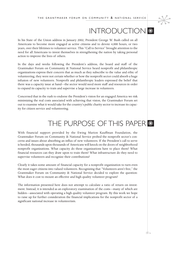# INTRODUCTION<sup>®</sup>

 $*$ 



In the days and weeks following the President 's address, the board and staff of the Grantmaker Forum on Community & National Service heard nonprofit and philanthropic or ganizations express their concern that as much as they subscribe to the value and ethic of volunteering, they were not certain whether or how the nonprofit sector could absorb a huge infusion of new volunteer s. Nonprofit and philanthropic leaders expressed the belief that there was a capacity issue at hand—the sector would need more staff and resources in order to expand its capacity to train and supervise a large increase in volunteer s.

Concerned that in the rush to endorse the President 's vision for an engaged America we risk minimizing the real costs associated with achieving that vision, the Grantmaker Forum set out to examine what it would take for the country's public charity sector to increase its capac -

# ity for citizen service and volunteering.<br>THE PURPOSE OF THIS PAP<br>With financial support provided by the Ewing Marion Kauffman Foundation, the THE PURPOSE OF THIS PAPER

voluntereng, they were not certain with<br>infusion of new volunteers. Nonprof<br>infusion of new volunteers. Nonprof<br>there was a capacity issue at hand—th<br>to expand its capacity to train and sup<br>Concerned that in the rush to en Grantmaker Forum on Community & National Service probed the nonprofit sector's con cerns and issues about absorbing an influx of new volunteer s. If the President 's call to ser ve is heeded, thousands upon thousands of Americans will knock on the doors of neighborhood nonprofit or ganizations. What capacity do these or ganizations have to place them? What financial resources can they draw upon to train them? What infrastructure do they need to supervise volunteers and recognize their contributions?

Clear ly it takes some amount of financial capacity for a nonprofit or ganization to turn even the most eager citizens into valued volunteer s. Recognizing that "Volunteers aren 't free," the Grantmaker Forum on Community & National Service decided to explore the question: What does it cost to mount an effective and high quality volunteer program?

The information presented here does not attempt to calculate a ratio of return on invest ment. Instead, it is intended as an exploratory examination of the costs—many of which ar e hidden—associated with operating a high quality volunteer pro g ram. By this work we hope to raise up for further consideration the financial implications for the nonprofit sector of a significant national increase in volunteerism.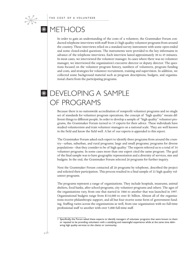# **WETHODS**

 $*$ 

In order to gain an understanding of the costs of a volunteer, the Grantmaker Forum conducted telephone interviews with staff from 21 high quality volunteer programs from around the country. These interviews relied on a standard survey instrument with some open-ended and some closed-ended questions. The instruments were provided to the key informants in advance of the telephone interviews. Each interview lasted approximately 30 to 45 minutes. In most cases, we interviewed the volunteer manager. In cases where there was no volunteer manager, we interviewed the organization's executive director or deputy director. The questions focused on the volunteer program history, numbers of volunteers, program funding and costs, and strategies for volunteer recruitment, training and supervision. In addition, we collected some background material such as program descriptions, budgets, and organizational charts from the participating programs.

# **SEXELOPING A SAMPLE** OF PROGRAMS

Because there is no nationwide accreditation of nonprofit volunteer programs and no single set of standards for volunteer program operations, the concept of "high quality" means different things to different people. In order to develop a sample of "high quality" volunteer programs, the Grantmaker Forum turned to 15 experts for their advice. These individuals have studied volunteerism and train volunteer managers on a national scale. They are well known in the field and know the field well. A list of our experts is appended to this report.

The Grantmaker Forum asked each expert to identify three programs from around the country—urban, suburban, and rural programs; large and small programs; programs for diverse populations—that they consider to be of high quality. <sup>1</sup> The experts referred us to a total of 34 volunteer programs. In some cases more than one expert cited the same program. The goal of the final sample was to have geographic representation and a diversity of services, size and budgets. In the end, the Grantmaker Forum selected 26 programs for further inquiry.

Next the Grantmaker Forum contacted all 26 programs by telephone, described the project and solicited their participation. This process resulted in a final sample of 21 high quality volunteer programs.

The programs represent a range of organizations. They include hospitals, museums, animal shelters, food banks, after school-programs, city volunteer programs and others. The ages of the organizations vary, from one that started in 1866 to another that was launched in 1997. Organizational budgets range from \$116,000 to over \$1 billion. Almost all of the organizations receive philanthropic support, and all but four receive some form of government funding. Staffing varies across the organizations as well, from one organization with no full-time professional staff to another with over 5,000 full-time staff.

<sup>1</sup> Specifically, the Forum asked these experts to identify managers of volunteer programs that were known to them or reputed to be providing volunteers with a satisfying and meaningful experience while at the same time delivering high quality services to the clients or community.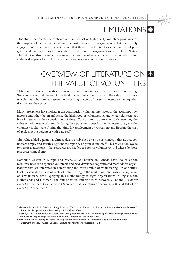

### LIMITATIONS **&**

This study documents the contours of a limited set of high quality volunteer programs for the purpose of better understanding the costs incurred by organizations that successfully engage volunteers. It is important to note that this effort is limited to a small number of programs and is not necessarily representative of all volunteer organizations in the United States. The intent of this examination is to raise awareness of issues that must be considered and addressed as part of any effort to expand citizen service in the United States.

# OVERVIEW OF LITERATURE ON  $\stackrel{\hspace{0.1em}}{*}{*}$ THE VALUE OF VOLUNTEERS

This examination began with a review of the literature on the cost and value of volunteering. We were able to find research in the field of economics that placed a dollar value on the work of volunteers, but limited research on assessing the cost of those volunteers to the organizations where they serve.

Many researchers have looked at the contribution volunteering makes to the economy, how income and other factors influence the likelihood of volunteering, and what volunteers get back in return for their contribution of time.<sup>2</sup> Two common approaches to determining the value of volunteer work are calculating the opportunity cost for the volunteer (the gains the volunteer could make if using that time for employment or recreation) and figuring the cost of replacing the volunteer with paid staff.

The value-added equation is almost always established as a no-cost concept; that is, that volunteers simply and strictly augment the capacity of professional staff. This calculation avoids two critical questions: What resources are needed to sponsor volunteers? And where do those resources come from?

Katherine Gaskin in Europe and Michelle Goulbourne in Canada have looked at the resources needed to sponsor volunteers and have developed sophisticated methods for organizations that are interested in determining the overall value of volunteering.<sup>3</sup> In one study, Gaskin calculated a ratio of costs of volunteering to the market or organization salary value of a volunteer's time. Applying this methodology to eight organizations in England, the Netherlands and Denmark, she found that volunteers return between £1.30 and £13.50 for every £1 expended. Calculated in US dollars, that is a return of between \$2.05 and \$21.24 for every \$1.57 expended.<sup>4</sup>

<sup>2</sup> Govekar, P.L. and M.A. Govekar."Using Economic Theory and Research to Better Understand Volunteer Behavior." Nonprofit Management and Leadership, 13 (1): 33-48, 2002.

<sup>3</sup> Gaskin, K., M. Goulbourne, and A. Ellis."Measuring Economic Value of Volunteering: Research Findings from Europe and Canada." Paper prepared for the ARNOVA conference, November 2002.

<sup>4</sup> Institute for Volunteering Research."Valuing Volunteers in Europe:A Comparative Study of the Volunteer Investment and Value Audit." London: Institute for Volunteering Research. [n.d.]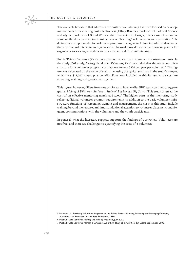#### THE COST OF A VOLUNTEER

 $*$ 

The available literature that addresses the costs of volunteering has been focused on developing methods of calculating cost effectiveness. Jeffrey Brudney, professor of Political Science and adjunct professor of Social Work at the University of Georgia, offers a useful outline of some of the direct and indirect cost centers of "housing" volunteers in an organization.<sup>5</sup> He delineates a simple model for volunteer program managers to follow in order to determine the worth of volunteers to an organization. His work provides a clear and concise primer for organizations seeking to understand the cost and value of volunteering.

Public/Private Ventures (PPV) has attempted to estimate volunteer infrastructure costs. In their July 2002 study, *Making the Most of Volunteers*, PPV concluded that the necessary infrastructure for a volunteer program costs approximately \$300 per year per volunteer. <sup>6</sup> This figure was calculated on the value of staff time, using the typical staff pay in the study's sample, which was \$23,000 a year plus benefits. Functions included in this infrastructure cost are screening, training and general management.

This figure, however, differs from one put forward in an earlier PPV study on mentoring programs, *Making A Difference: An Impact Study of Big Brothers Big Sisters*. This study assessed the cost of an effective mentoring match at \$1,000.<sup>7</sup> The higher costs in the mentoring study reflect additional volunteer program requirements. In addition to the basic volunteer infrastructure functions of screening, training and management, the costs in this study include training beyond the required minimum, additional attention to volunteer placement, and frequent communications with the volunteers and the youth participants.

In general, what the literature suggests supports the findings of our review. Volunteers are not free, and there are challenges to quantifying the costs of a volunteer.

<sup>5</sup> Brudney, J.L. Fostering Volunteer Programs in the Public Sector: Planning, Initiating, and Managing Voluntary Activities. San Francisco: Jossey-Bass Publishers, 1990.

<sup>6</sup> Public/Private Ventures. *Making the Most of Volunteers*, July 2002.

<sup>7</sup> Public/Private Ventures. *Making a Difference:An Impact Study of Big Brothers Big Sisters*. September 2000.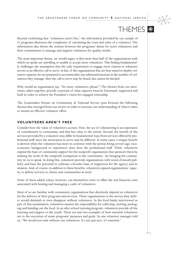

### **THEMES \***

Beyond confirming that "volunteers aren't free," the information provided by our sample of 21 programs illustrates the complexity of calculating the costs and value of a volunteer. The information also shows the tension between the programs' desire for more volunteers and their commitment to manage and support volunteers for quality results.

The most important theme, we would argue, is that more than half of the organizations with which we spoke are unwilling or unable to accept more volunteers. This finding fundamentally challenges the assumption that the only requirement to engage more citizens in volunteer service is an effective call to serve. In fact, if the organizations that are best suited to deploy volunteer capacity are not prepared to accommodate any substantial increase in the number of volunteers they manage, then the call to serve may be heard, but cannot be heeded.

Why would an organization say, "No more volunteers, please"? The themes from our interviews, taken together, provide a portrait of what capacity must be harnessed, supported and built in order to achieve the President's vision for engaged citizenship.

The Grantmaker Forum on Community & National Service puts forward the following themes that emerged from our review in order to increase our understanding of what it takes to mount an effective volunteer effort.

### **VOLUNTEERS AREN'T FREE**

Consider how the value of volunteers accrues. First, the act of volunteering is an expression of commitment to community, and that has value to the nation. Second, the benefit of the services provided by a volunteer may differ in fundamental ways from services offered by professional staff since the motivation to serve may be different. In some cases, a unique benefit is derived when the volunteer has more in common with the person being served (age, race, economic background or experience) than does the professional staff. Third, volunteers expand the base of community support for the nonprofit organization that sponsors them by making the work of the nonprofit transparent to the community—by bringing the community in, so to speak. In doing this, volunteers provide organizations with word-of-mouth publicity and have the potential to cultivate a broader base of supporters for the agency and its mission. And, of course, in addition to these benefits, volunteers expand organizations' capacity to deliver services to clients and communities in need.

None of these added values, however, can themselves cover or offset the real financial costs associated with hosting and managing a cadre of volunteers.

Most of us are familiar with community organizations that absolutely depend on volunteers for the delivery of their programs and services. These organizations or the service they deliver would diminish or even disappear without volunteers. In the food banks interviewed as part of this examination, volunteers assume the responsibility for collecting, moving, packaging and handing out the food. In an after-school tutoring program, volunteers provide all the tutoring and support to the youth. These are just two examples of how essential volunteers are to the execution of some programs' purposes and goals. As one volunteer manager told us, "We would not exist without our volunteers. It's not just nice, it's essential."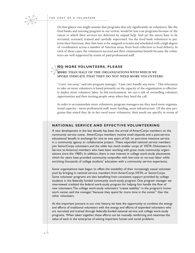On first glance one might assume that programs that rely significantly on volunteers, like the food banks and tutoring program in our review, would be low-cost programs because of the extent to which their services are delivered by unpaid help. And yet the tutors have to be recruited, screened, trained and carefully supervised. For the food bank volunteers to perform their functions, they first have to be assigned to teams and scheduled with a high degree of coordination across a number of function areas, from food collection to food delivery. In each of these cases, the volunteers succeed and their communities benefit because the volunteers are well supported by teams of paid professional staff.

### MO<sub>NOE</sub> **NO MORE VOLUNTEERS, PLEASE**

### **MORE THAN HALF OF THE ORGANIZATIONS WITH WHICH WE SPOKE INDICATE THAT THEY DO NOT NEED MORE VOLUNTEERS.**

"I turn 'em away," said one program manager. "I just can't handle any more." This reluctance to take on more volunteers is based primarily on the capacity of the organization to effectively deploy more volunteer labor. In this environment, we run a risk of overselling volunteer opportunities and then turning people away when they heed the call.

In order to accommodate more volunteers, program managers say they need more organizational capacity—more professional staff, more funding, more infrastructure. Of the nine programs that stated they do in fact need more volunteers, their needs are specific in terms of

### **NATIONAL SERVICE AND EFFECTIVE VOLUNTEERING**

A new development in the last decade has been the arrival of AmeriCorps members on the community service scene. AmeriCorps members receive small stipends and a post-service educational benefit in exchange for one to two years of full- or part-time intensive service in a community agency or collaborative project. These stipended national service members join SeniorCorps volunteers and the older but much smaller corps of VISTA (Volunteers In Service to America) members who have been working with grass roots community organizations since the 1960's. In addition, there is new interest in college work-study placements which for years have provided community nonprofits with low-cost or no-cost labor while enriching thousands of college students' education with a community service experience.

Some organizations have begun to offset the instability of their increasingly casual volunteer pool by bringing in national service members from AmeriCorps,VISTA, or SeniorCorps. Some volunteer programs are also benefiting from consistent support provided by college students in the federally funded community work-study program. One program manager we interviewed credited the federal work-study program for helping him handle the flow of new volunteers.The college work-study volunteers "create stability" in the program's homework center, said the manager,"because they spend far more time in the center" than the other volunteers.

At this important juncture in our civic history, we have the opportunity to combine the energy and efforts of traditional volunteers with the energy and efforts of stipended volunteers who are recruited and trained through federally-funded national service and college work-study programs. When taken together, these efforts can be mutually reinforcing and maximize the value of each in the enterprise of solving important human and social problems.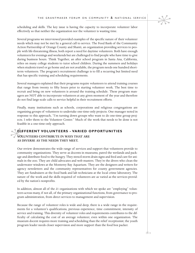scheduling and skills. The key issue is having the capacity to incorporate volunteer labor effectively so that neither the organization nor the volunteer is wasting time.

Several programs we interviewed provided examples of the specific nature of their volunteer needs which may not be met by a general call to service. The Food Bank of the Community Action Partnership of Orange County and Shanti, an organization providing services to people with life-threatening illness, both report a need for daytime volunteers. Both have enough volunteers for evenings and weekends but are challenged to find people who have time to give during business hours. Think Together, an after school program in Santa Ana, California, relies on many college students to tutor school children. During the summers and holidays when students travel or go home and are not available, the program needs one hundred shortterm volunteers. The program's recruitment challenge is to fill a recurring but limited need that has specific training and scheduling requirements.

Several managers explained that their programs require volunteers to attend training courses that range from twenty to fifty hours prior to starting volunteer work. The best time to recruit and bring on new volunteers is around the training schedule. These program managers are NOT able to incorporate volunteers at any given moment of the year and therefore do not find large-scale calls to service helpful in their recruitment efforts.

Finally, many institutions such as schools, corporations and religious congregations are organizing groups of volunteers to undertake one-time-only projects. One manager noted in response to this approach, "I'm turning down groups who want to do one-time group projects. I refer them to the Volunteer Center." Much of the work that needs to be done is not feasible in a one-time-only approach.

### feasib **DIFFERENT VOLUNTEERS - VARIED OPPORTUNITIES**

**VOLUNTEERS CONTRIBUTE IN WAYS THAT ARE AS DIVERSE AS THE NEEDS THEY MEET.** 

Our review demonstrates the wide range of services and support that volunteers provide to community organizations. They serve as docents in museums, patrol the wetlands and package and distribute food to the hungry. They stencil storm drain signs and feed and care for animals in the zoo. They are child advocates and web masters. They're the divers who clean the underwater windows at the Monterey Bay Aquarium. They are the designers and writers for agency newsletters and the community representatives for county government agencies. They are fundraisers at the food bank and lab technicians at the local crime laboratory. The nature of the work and the skills required of volunteers are as varied as the services provided by the nation's nonprofits.

In addition, almost all of the 21 organizations with which we spoke are "employing" volunteers across many, if not all, of the primary organizational functions, from governance to program administration, from direct services to management and supervision.

Because the range of volunteer roles is wide and deep, there is a wide range in the requirements for a volunteer's qualifications, previous experience, time commitment, intensity of service and training. This diversity of volunteer roles and requirements contributes to the difficulty of calculating the cost of an average volunteer, even within one organization. The museum docent requires more training and scheduling than the relief receptionist; the youth program leader needs closer supervision and more support than the food box packer.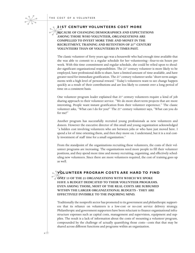### **21ST CENTURY VOLUNTEERS COST MORE**

### Parties of the season of the season of the season of the season of the season of the season of the season of the season of the season of the season of the season of the season of the season of the season of the season of t **BECAUSE OF CHANGING DEMOGRAPHICS AND EXPECTATIONS AMONG THOSE WHO VOLUNTEER, ORGANIZATIONS ARE COMPELLED TO INVEST MORE TIME AND MONEY IN THE RECRUITMENT, TRAINING AND RETENTION OF 21ST CENTURY VOLUNTEERS THAN OF VOLUNTEERS IN TIMES PAST.**

The classic volunteer of forty years ago was a housewife who had enough time available that she was able to commit to a regular schedule for her volunteering—four-to-six hours per week. With this time commitment and regular schedule, she could be relied upon to shoulder significant organizational responsibilities. The  $21<sup>s</sup>$  century volunteer is more likely to be employed, have professional skills to share, have a limited amount of time available, and have greater need for immediate gratification. The 21<sup>st</sup> century volunteer seeks "short-term assignments with a high level of personal reward." Today's volunteers want to see change happen quickly as a result of their contributions and are less likely to commit over a long period of time on a consistent basis.

One volunteer program leader explained that  $21<sup>{st}</sup>$  century volunteers require a kind of job sharing approach to their volunteer service. "We do more short-term projects that are more interesting. People want instant gratification from their volunteer experience." The classic volunteer asks, "What can I do for you?" The 21<sup>st</sup> century volunteer says, "What can you do for me?"

Another program has successfully recruited young professionals as new volunteers and donors. However the executive director of this small and young organization acknowledged "a hidden cost involving volunteers who are between jobs or who have just moved here. I spend a lot of time orienting them, and then they move on. I understand, but it is a real costly investment of staff time for a small organization."

From the standpoint of the organizations recruiting these volunteers, the costs of their volunteer programs are increasing. The organizations need more people to fill their volunteer positions, and they spend more time and money recruiting, organizing, and effectively scheduling new volunteers. Since there are more volunteers required, the cost of training goes up as well.

### **WOL VOLUNTEER PROGRAM COSTS ARE HARD TO FIND**

**ONLY 13 OF THE 21 ORGANIZATIONS WITH WHICH WE SPOKE HAVE A BUDGET DEDICATED TO THEIR VOLUNTEER PROGRAMS. EVEN AMONG THOSE, MOST OF THE REAL COSTS ARE SUBSUMED WITHIN THE LARGER ORGANIZATIONAL BUDGETS - THEY ARE EFFECTIVELY INVISIBLE TO THE INQUIRING MIND.** 

Traditionally the nonprofit sector has promoted to its government and philanthropic supporters that its reliance on volunteers is a low-cost or no-cost service delivery strategy. Philanthropic and government supporters have been reluctant to finance organizational infrastructure expenses such as capital costs, management and supervision, equipment and supplies. The result is a lack of information about the costs of mounting a volunteer program, compounded by the challenge of actually quantifying those costs—costs that that may be shared across different functions and programs within an organization.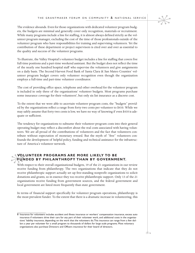The evidence abounds. Even for those organizations with dedicated volunteer program budgets, the budgets are minimal and generally cover only recognition, materials or recruitment. While many programs include a line for staffing, it is almost always defined strictly as the volunteer program manager, excluding the cost of the time of those professionals outside of the volunteer program who have responsibilities for training and supervising volunteers. Yet the contribution of these department or project supervisors is cited over and over as essential to the quality and success of the volunteer programs.

To illustrate, the Valley Hospital's volunteer budget includes a line for staffing that covers five full-time positions and a part-time weekend assistant. But the budget does not reflect the time of the nearly one hundred hospital staff who supervise the volunteers and give assignments on a daily basis. The Second Harvest Food Bank of Santa Clara & San Mateo Counties' volunteer program budget covers only volunteer recognition even though the organization employs a full-time and part-time volunteer coordinator.

The cost of providing office space, telephone and other overhead for the volunteer program is included in only three of the organizations' volunteer budgets. Most programs purchase some insurance coverage for their volunteers<sup>8</sup>, but only six list insurance as a discrete cost.

To the extent that we were able to ascertain volunteer program costs, the "budgets" provided by the organizations reflect a range from forty-two cents per volunteer to \$410. While we may safely assume that forty-two cents is low, we have no way of knowing if even \$410 is adequate or sufficient.

The tendency for organizations to subsume their volunteer program costs into their general operating budget may reflect a discomfort about the real costs associated with having volunteers. We are all proud of the contributions of volunteers and the fact that volunteers contribute without expectation of monetary reward. But the myth of "free" volunteers confounds the development of helpful policy, funding and technical assistance for the infrastructure of America's volunteer network.

### m**FUNDED BY PHILANTHROPY THAN BY GOVERNMENT. VOLUNTEER PROGRAMS ARE MORE LIKELY TO BE**

With respect to their overall organizational budgets, 19 of the 21 organizations in our review receive funding from philanthropy. The two organizations that indicate that they do not receive philanthropic support actually set up free-standing nonprofit organizations to solicit donations and grants, so in essence they too receive philanthropic support. Only 13 of the 21 organizations receive funding from government sources, and the federal government and local government are listed more frequently than state government.

In terms of financial support specifically for volunteer program operations, philanthropy is the most prevalent funder. To the extent that there is a dramatic increase in volunteering, this

<sup>8</sup> Insurance for volunteers includes accident and illness insurance or workers' compensation insurance, excess auto insurance if volunteers drive their cars for any part of their volunteer work, and additional costs in the organizations' liability insurance, depending on the work that the volunteers do.This insurance can range from a few dollars a year per volunteer for a small program to thousands of dollars for large scale programs. Most voluntary organizations also purchase Directors and Officers insurance for their board of directors.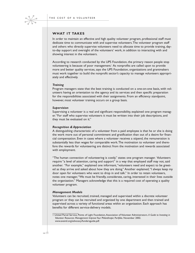

#### **WHAT IT TAKES**

In order to maintain an effective and high quality volunteer program, professional staff must dedicate time to communicate with and supervise volunteers.The volunteer program staff and others who directly supervise volunteers need to allocate time to provide training, dayto-day support and oversight of the volunteers' work, in addition to interacting with and showing interest in the volunteers.

According to research conducted by the UPS Foundation, the primary reason people stop volunteering is because of poor management.<sup>1</sup> As nonprofits are called upon to provide more and better quality services, says the UPS Foundation, organizations and grantmakers must work together to build the nonprofit sector's capacity to manage volunteers appropriately and effectively.

#### *Training*

Program managers state that the best training is conducted on a one-on-one basis, with volunteers having an orientation to the agency and its services and then specific preparation for the responsibilities associated with their assignments. From an efficiency standpoint, however, most volunteer training occurs on a group basis.

#### *Supervision*

Supervising a volunteer is a real and significant responsibility, explained one program manager."For staff who supervise volunteers it must be written into their job descriptions, and they must be evaluated on it."

#### *Recognition & Appreciation*

A distinguishing characteristic of a volunteer from a paid employee is that he or she is doing the work more out of personal commitment and gratification than out of a desire for financial compensation. Even in cases where a volunteer receives a stipend, the remuneration is substantially less than wages for comparable work.The motivation to volunteer and therefore the rewards for volunteering are distinct from the motivation and rewards associated with employment.

"The human connection of volunteering is costly," states one program manager. Volunteers require "a level of attention, caring and support" in a way that employed staff may not, said another. "For example," explained one informant,"volunteers need and expect to be greeted as they arrive and asked about how they are doing." Another explained,"I always keep my door open for volunteers who want to drop in and talk." In order to retain volunteers, notes one manager,"We must be friendly, considerate, caring, interested in their lives outside the organization." Managers acknowledge that this is a required cost of operating a quality volunteer program.

#### *Management Models*

Volunteers can be recruited, trained, managed and supervised within a discrete volunteer program or they can be recruited and organized by one department and then trained and supervised across a variety of functional areas within an organization. Each approach has benefits for different service-delivery models.

<sup>1</sup> United Parcel Service, Points of Light Foundation,Association of Volunteer Administrators. *A Guide to Investing in Volunteer Resources Management: Improve Your Philanthropic Portfolio*. November 2002. www.avaintl.org/advocacy/fundersguide.pdf.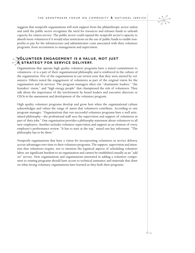suggests that nonprofit organizations will seek support from the philanthropic sector unless and until the public sector recognizes the need for resources and releases funds to unleash capacity for citizen service. The public sector could expand the nonprofit sector's capacity to absorb more volunteers if it would relax restrictions on the use of public funds to enable nonprofits to pay for the infrastructure and administrative costs associated with their volunteer programs, from recruitment to management and supervision.

### **MOLUNTEER ENGAGEMENT IS A VALUATEER ENGAGEMENT IS A VALUATE STRATEGY FOR SERVICE DELIVERY. VOLUNTEER ENGAGEMENT IS A VALUE, NOT JUST**

Organizations that operate high quality volunteer programs have a stated commitment to volunteers—it is a part of their organizational philosophy and is reinforced in the culture of the organization. Five of the organizations in our review note that they were started by volunteers. Others noted the engagement of volunteers as part of the original vision for the organization and its services. The program managers often cite "charismatic leaders," "the founders' vision," and "high energy people" that championed the role of volunteers. They talk about the importance of the involvement by board leaders and executive directors or CEOs in the assessment and development of the volunteer program.

High quality volunteer programs develop and grow best when the organizational culture acknowledges and values the range of assets that volunteers contribute. According to one program manager, "Organizations that run successful volunteer programs have a well articulated philosophy—the professional staff sees the supervision and support of volunteers as part of their jobs." One organization provides a philosophy statement about volunteers to all new employees. Another includes volunteer supervision and support as an element of every employee's performance review. "It has to start at the top," stated one key informant. "The philosophy has to be there."

Nonprofit organizations that have a vision for incorporating volunteers in service delivery accrue advantages over time to their volunteer programs. The support, supervision and attention that volunteers require, not to mention the logistical aspects of scheduling volunteer labor, are significant burdens to an organization and cannot be established casually as an "add on" service. New organizations and organizations interested in adding a volunteer component to existing programs should have access to technical assistance and materials that draw on what strong voluntary organizations have learned as they built their programs.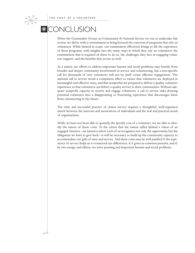# CONCLUSION

 $*$ 

When the Grantmaker Forum on Community & National Service set out to undertake this review, we did so with a commitment to bring forward the concerns of programs that rely on volunteers. While limited in scope, our examination effectively brings to life the experience of these programs, with insights into the many ways in which they rely on volunteers, the commitment that is required of them to do so, the challenges they face in engaging volunteer support, and the benefits that accrue as well.

As a nation our efforts to address important human and social problems may benefit from broader and deeper community involvement in service and volunteering, but a non-specific call for thousands of new volunteers will not by itself create effective engagement. The national call to service needs a companion effort to ensure that volunteers are deployed in meaningful and effective ways, and that nonprofits are prepared to deliver a quality volunteer experience so that volunteers can deliver a quality service to their communities. Without adequate nonprofit capacity to receive and engage volunteers, a call to service risks drawing potential volunteers into a disappointing or frustrating experience that discourages them from volunteering in the future.

The ethic and successful practice of citizen service requires a thoughtful, well-organized match between the interests and motivations of individuals and the real and practical needs of organizations.

While we have not been able to quantify the specific cost of a volunteer, we are able to identify the nature of those costs. To the extent that the nation rallies behind a vision of an engaged America—an America where each of us recognizes not only the opportunity but the obligation we have to give back—it will be necessary to build up the community capacity to accommodate our gifts of time and service. And these costs may be well justified if the experience of service helps us to transcend our differences, if it gives us common pursuits, and if, by our energy and efforts, we solve pressing and important human and social problems.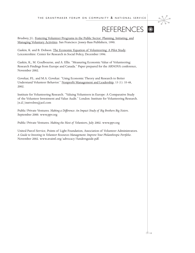

# REFERENCES **\\**

Brudney, J.L. Fostering Volunteer Programs in the Public Sector: Planning, Initiating, and Managing Voluntary Activities. San Francisco: Jossey-Bass Publishers, 1990.

Gaskin, K. and B. Dobson. The Economic Equation of Volunteering: A Pilot Study. Leicestershire: Center for Research in Social Policy, December 1996.

Gaskin, K., M. Goulbourne, and A. Ellis. "Measuring Economic Value of Volunteering: Research Findings from Europe and Canada." Paper prepared for the ARNOVA conference, November 2002.

Govekar, P.L. and M.A. Govekar. "Using Economic Theory and Research to Better Understand Volunteer Behavior." Nonprofit Management and Leadership, 13 (1): 33-48, 2002.

Institute for Volunteering Research. "Valuing Volunteers in Europe: A Comparative Study of the Volunteer Investment and Value Audit." London: Institute for Volunteering Research.  $[n.d.]$  instvolres@aol.com

Public/Private Ventures. *Making a Difference: An Impact Study of Big Brothers Big Sisters*. September 2000. www.ppv.org

Public/Private Ventures. *Making the Most of Volunteers*, July 2002. www.ppv.org

United Parcel Service, Points of Light Foundation, Association of Volunteer Administrators. *A Guide to Investing in Volunteer Resources Management: Improve Your Philanthropic Portfolio*. November 2002. www.avaintl.org/advocacy/fundersguide.pdf.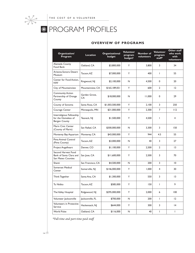

# **REPROGRAM PROFILES**

### **OVERVIEW OF PROGRAMS**

| Organization/<br>Program                                                 | <b>Location</b>     | Organizational<br>budget | Volunteer<br>program<br>budget? | Number of<br>volunteers | <b>Volunteer</b><br>program<br>staff* | Other staff<br>who work<br>with<br>volunteers |
|--------------------------------------------------------------------------|---------------------|--------------------------|---------------------------------|-------------------------|---------------------------------------|-----------------------------------------------|
| Alameda County<br>Food Bank                                              | Oakland, CA         | \$3,800,000              | Y                               | 3.800                   | 3                                     | 34                                            |
| Arizona-Sonora Desert<br>Museum                                          | Tucson, AZ          | \$7,000,000              | Y                               | 400                     | $\mathbf{I}$                          | 55                                            |
| Center for Food Action.<br><b>NW</b>                                     | Ringwood, NJ        | \$2,100,000              | N                               | 4,500                   | $\mathbf 0$                           | 20                                            |
| City of Mountainview                                                     | Mountainview, CA    | \$165,189,051            | Y                               | 600                     | $\overline{2}$                        | 12                                            |
| <b>Community Action</b><br>Partnership of Orange<br>County               | Garden Grove.<br>CA | \$18,000,000             | N                               | 11,000                  | 0                                     | 29                                            |
| County of Sonoma                                                         | Santa Rosa, CA      | \$1,003,500,000          | Y                               | 2,100                   | 3                                     | 250                                           |
| Courage Center                                                           | Minneapolis, MN     | \$31,000,000             | Y                               | 2,300                   | $\overline{7}$                        | 112                                           |
| Interreligious Fellowship<br>for the Homeless of<br><b>Bergen County</b> | Teaneck, NJ         | \$1,500,000              | Υ                               | 4,500                   | $\mathbf{I}$                          | 4                                             |
| Marin Civic Center<br>(County of Marin)                                  | San Rafael, CA      | \$300,000,000            | N                               | 3,300                   | 3                                     | 150                                           |
| Monterey Bay Aquarium                                                    | Monterey, CA        | \$43,000,000             | Y                               | 944                     | 4.5                                   | 55                                            |
| Pima Animal Control<br>(Pima County)                                     | Tucson, AZ          | \$3,000,000              | N                               | 40                      | 3                                     | 27                                            |
| Project Angelheart                                                       | Denver, CO          | \$1,100,000              | Y                               | 2,500                   | $\overline{2}$                        | 13                                            |
| Second Harvest Food<br>Bank of Santa Clara and<br>San Mateo Counties     | San Jose, CA        | \$11,600,000             | Y                               | 2,500                   | 3                                     | 70                                            |
| Shanti                                                                   | San Francisco, CA   | \$4,500,000              | N                               | 200                     | 3                                     | 10                                            |
| Somerset Medical<br>Center                                               | Somerville, NJ      | \$146,000,000            | Y                               | 1.000                   | $\overline{4}$                        | 30                                            |
| Think Together                                                           | Santa Ana, CA       | \$1,300,000              | Y                               | 550                     | 3                                     | 13                                            |
| Tu Nidito                                                                | Tucson, AZ          | \$585,000                | Y                               | 150                     | $\mathbf{I}$                          | 9                                             |
| The Valley Hospital                                                      | Ridgewood, NJ       | \$295,000,000            | Y                               | 2.000                   | 6                                     | 100                                           |
| Volunteer Jacksonville                                                   | Jacksonville, FL    | \$700,000                | N                               | 200                     | $\mathbf{I}$                          | 12                                            |
| <b>Volunteers in Protective</b><br>Service                               | Hackensack, NJ      | \$644,000                | Y                               | 300                     | 3                                     | 4                                             |
| <b>World Pulse</b>                                                       | Oakland, CA         | \$116,000                | N                               | 40                      | T                                     | L                                             |

*\*Full-time and part-time paid staff*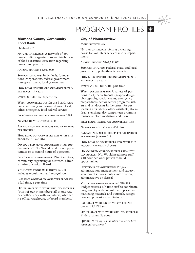### PROGRAM PROFILES **\***



Oakland, CA

**NATURE OF SERVICES:** A network of 300 hunger relief organizations — distribution of food assistance, education regarding hunger and poverty

**ANNUAL BUDGET:** \$3,800,000

**SOURCES OF FUNDS:** Individuals, foundations, corporations, federal government, state government, local government

**HOW LONG HAS THE ORGANIZATION BEEN IN EXISTENCE:** 17 years

**STAFF:** 32 full-time, 2 part-time

**WHAT VOLUNTEERS DO:** On the Board, warehouse screening and sorting donated food, office, emergency food referral service

**FIRST BEGAN RELYING ON VOLUNTEERS:**1985

**NUMBER OF VOLUNTEERS:** 3,800

**AVERAGE NUMBER OF HOURS PER VOLUNTEER PER MONTH:** 8

**HOW LONG DO VOLUNTEERS STAY WITH THE PROGRAM:** 10 months

**DO YOU NEED MORE VOLUNTEERS THAN YOU CAN RECRUIT:** No. Would need more opportunities or to extend hours of operation

**FUNCTIONS OF VOLUNTEERS:** Direct services, community organizing or outreach, administrative or clerical, Board

**VOLUNTEER PROGRAM BUDGET:** \$2,500, includes recruitment and recognition

**PAID STAFF WORKING ON VOLUNTEER PROGRAM:** 1 full-time, 2 part-time

**OTHER STAFF WHO WORK WITH VOLUNTEERS:** "Most of our 34-member staff in one way or another work with volunteers, whether it's office, warehouse, or board members."

### **City of Mountainview**

Mountainview, CA

**NATURE OF SERVICES:** Acts as a clearinghouse for volunteer services in city departments

**ANNUAL BUDGET:** \$165,189,051

**SOURCES OF FUNDS:** Federal, state, and local government; philanthropic, sales tax

**HOW LONG HAS THE ORGANIZATION BEEN IN EXISTENCE:** 16 years

**STAFF:** 550 full-time, 100 part-time

**WHAT VOLUNTEERS DO:** A variety of positions in city departments - graphic design, photography, special events, emergency preparedness, senior center programs, ushers and art docents in the center for performing arts, library, office assistants, storm drain stenciling, day camps, teen programs, tenant/landlord mediators and more!

**FIRST BEGAN RELYING ON VOLUNTEERS:** 1988

**NUMBER OF VOLUNTEERS:** 600 plus

**AVERAGE NUMBER OF HOURS PER VOLUNTERR PER MONTH (APPROX.):** 8

**HOW LONG DO VOLUNTEERS STAY WITH THE PROGRAM (APPROX.):** 5 years

**DO YOU NEED MORE VOLUNTEERS THAN YOU CAN RECRUIT:** No. Would need more staff a 10-hour per week person to build opportunities

**FUNCTIONS OF VOLUNTEERS:** Program administration, management and supervision, direct services, public information, administrative or clerical

**VOLUNTEER PROGRAM BUDGET:** \$78,988. Budget covers a 3/4 time staff to coordinate program city wide, recruitment, placement, marketing materials and outreach, recognition and professional affiliations.

P**AID STAFF WORKING ON VOLUNTEER PRO-GRAM:** 1.75 FTE staff

**OTHER STAFF WHO WORK WITH VOLUNTEERS:** 12 department liaisons.

**QUOTE:** *"Keeping communities connected keeps communities strong."*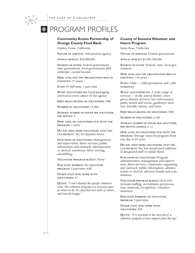# **ROGRAM PROFILES**

### **Community Action Partnership of Orange County Food Bank**

Garden Grove, California

**NATURE OF SERVICES**: Anti-poverty agency

**ANNUAL BUDGET:** \$18,000,000

**SOURCES OF FUNDS:** Federal government, state government, local government, philanthropic, earned income

**HOW LONG HAS THE ORGANIZATION BEEN IN EXISTENCE:** 37 years

**STAFF:** 97 full-time, 1 part-time

**WHAT VOLUNTEERS DO:** Food packaging, involved in every aspect of the agency

**FIRST BEGAN RELYING ON VOLUNTEERS:** 1980

**NUMBER OF VOLUNTEERS:** 11,000

**AVERAGE NUMBER OF HOURS PER VOLUNTEER PER MONTH:** 4

**HOW LONG DO VOLUNTEERS STAY WITH THE PROGRAM:** 3 years

**DO YOU NEED MORE VOLUNTEERS THAN YOU CAN RECRUIT:** Yes, for daytime hours

**FUNCTIONS OF VOLUNTEERS:** Management and supervision, direct services, public information and outreach, administrative or clerical, warehouse labor (sorting, assembling)

**VOLUNTEER PROGRAM BUDGET:** None

**PAID STAFF WORKING ON VOLUNTEER PROGRAM:** 3 part-time staff

**OTHER STAFF WHO WORK WITH VOLUNTEERS:** 27

**QUOTE:** *"I can't identify the specific volunteer costs. The volunteer program is a necessary part of what we do. It's absorbed into tasks of others, and into the budget."*

### **County of Sonoma Volunteer and Intern Program**

Santa Rosa, California

**NATURE OF SERVICES:** County government

**ANNUAL BUDGET:** \$1,003,500,000

**SOURCES OF FUNDS**: Federal, state, local government

**HOW LONG HAS THE ORGANIZATION BEEN IN EXISTENCE:** 156 years

**STAFF:** 5,060 — 4,060 permanent and 1,000 temporary

**WHAT VOLUNTEERS DO:** A wide range of services — in the animal shelter, emergency disaster services, law enforcement, parks, search and rescue, gardeners, mentors, friendly visitors, and more.

**FIRST BEGAN RELYING ON VOLUNTEERS:** 1984

**NUMBER OF VOLUNTEERS:** 2,100

**AVERAGE NUMBER OF HOURS PER VOLUNTEER PER MONTH (APPROX.):** 12

**HOW LONG DO VOLUNTEERS STAY WITH THE PROGRAM**: Average varies by program from one day to 25 years

**DO YOU NEED MORE VOLUNTEERS THAN YOU CAN RECRUIT:** Yes, but would need additional designated staff to utilize them

**FUNCTIONS OF VOLUNTEERS:** Program administration, management and supervision, direct services, community organizing and outreach, public information, administrative or clerical, advisory boards and commissions

**VOLUNTEER PROGRAM BUDGET:** \$125,649, includes staffing, recruitment and promotion, materials, recognition, volunteer insurance

**PAID STAFF WORKING ON VOLUNTEER PROGRAM:** 3 part-time

**OTHER STAFF WHO WORK WITH VOLUNTEERS:** 250

**QUOTE:** *"It is essential to the survival of a volunteer program to have support from the top."*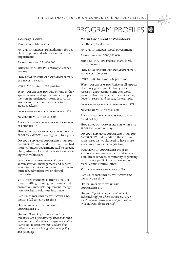# PROGRAM PROFILES **\***



Minneapolis, Minnesota

**NATURE OF SERVICES**: Rehabilitation for people with physical disabilities and sensory impairments

**ANNUAL BUDGET**: \$31,000,000

**SOURCES OF FUNDS:** Philanthropic, earned income

**HOW LONG HAS THE ORGANIZATION BEEN IN EXISTENCE:** 75 years

**STAFF:** 296 full-time, 225 part-time

**WHAT VOLUNTEERS DO:** One-on-one in therapy, recreation and sports instructors, peer mentors in residences, tutors, escorts for visitors and reception helpers, activity aides, speakers

**FIRST BEGAN RELYING ON VOLUNTEERS:** 1928

**NUMBER OF VOLUNTEERS:** 2,300

**AVERAGE NUMBER OF HOURS PER VOLUNTEER PER MONTH:** 3.5

**HOW LONG DO VOLUNTEERS STAY WITH THE PROGRAM (APPROX.):** average of 3 to 5 years

**DO YOU NEED MORE VOLUNTEERS THAN YOU CAN RECRUIT**: We could use more if we had more volunteer department staff to screen, place, advocate for, and train staff on working with volunteers

**FUNCTIONS OF VOLUNTEERS:** Program administration, management and supervision, direct services, public information and outreach, administrative or clerical, fundraising

**VOLUNTEER PROGRAM BUDGET:** \$326,500, covers staffing, training, recruitment and promotion, materials, equipment, recognition, overhead, volunteer insurance

**PAID STAFF WORKING ON VOLUNTEER PRO-GRAM:** 4 full-time, 3 part-time

**OTHER STAFF WHO WORK WITH VOLUNTEERS:** 112

**QUOTE:** *"A real key to our success is that volunteers are a primary organizational value. Volunteers are integral to all program operations. I serve on the executive team and am thus intimately involved in organizational policy and planning."*

### **Marin Civic Center Volunteers**

San Rafael, California

**NATURE OF SERVICES:** Local government

**ANNUAL BUDGET:** \$300,000,000

**SOURCES OF FUNDS:** Federal, state, local, earned income

**HOW LONG HAS THE ORGANIZATION BEEN IN EXISTENCE:** 100 years

S**TAFF:** 1980 full-time, 207 part-time

**WHAT VOLUNTEERS DO:** Active in all aspects of county government: library, legal research, engineering, computer work, grounds/land management, event ushers, docents, search and rescue, for example.

**FIRST BEGAN RELYING ON VOLUNTEERS:** 1979

**NUMBER OF VOLUNTEERS:** 3,300

**AVERAGE NUMBER OF HOURS PER MONTH:** could not say

**HOW LONG DO VOLUNTEERS STAY WITH THE PROGRAM:** could not say

**DO YOU NEED MORE VOLUNTEERS THAN YOU CAN RECRUIT:** It depends on the job... in some cases we would need to have more space, more supervision (staffing).

**FUNCTIONS OF VOLUNTEERS:** Program administration, management and supervision, direct services, community organizing or advocacy, public information and outreach, administrative, other

**VOLUNTEER PROGRAM BUDGET: NO**

**PAID STAFF WORKING ON VOLUNTEER PRO-GRAM:** 3 part-time

**OTHER STAFF WHO WORK WITH VOLUNTEERS:** 150

**QUOTE:** *"Spend money on professional, dedicated staff for whom it's not just a job people who are passionate and feel a calling to do it. Don't skimp on staff."*

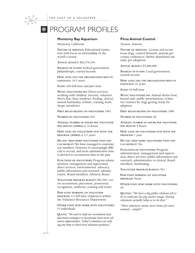# **EXAMPROFILES**

#### **Monterey Bay Aquarium**

Monterey, California

**NATURE OF SERVICES:** Educational institution with focus on stewardship of the world's oceans

**ANNUAL BUDGET:** \$42,576,356

**SOURCES OF FUNDS:** Federal government, philanthropic, earned income

**HOW LONG HAS THE ORGANIZATION BEEN IN EXISTENCE:** 19.5 years

**STAFF:** 430 full-time and part-time

**WHAT VOLUNTEERS DO:** Direct services, working with children, docents, volunteer divers that clean windows, feeding, clerical, animal husbandry, website, training workshops, newsletter

**FIRST BEGAN RELYING ON VOLUNTEERS:** 1983

**NUMBER OF VOLUNTEERS:** 944

**AVERAGE NUMBER OF HOURS PER VOLUNTEER PER MONTH (APPROX.):** 16 hours

**HOW LONG DO VOLUNTEERS STAY WITH THE PROGRAM (APPROX.):** 2.5 years

**DO YOU NEED MORE VOLUNTEERS THAN YOU CAN RECRUIT:** We have managed to maintain our numbers. However it's increasingly difficult to recruit, and more administrative time is devoted to recruitment than in the past.

**FUNCTIONS OF VOLUNTEERS:** Program administration, management and supervision, direct services, environmental advocacy, public information and outreach, administrative, Board members, Advisory Board

**VOLUNTEER PROGRAM BUDGET:** \$81,905, covers recruitment, placement, promotion, recognition, uniforms, training and travel.

**PAID STAFF WORKING ON VOLUNTEER PROGRAM:** 4.5 full-time employees within the Volunteer Resources Department

**OTHER STAFF WHO WORK WITH VOLUNTEERS:** 55 individuals

**QUOTE:** *"We need to shift our recruitment and placement strategies to incorporate short term volunteer opportunities. Today's volunteers are seeking one-time or short-term volunteer positions."*

#### **Pima Animal Control**

Tucson, Arizona

**NATURE OF SERVICES:** License and secure loose dogs, control domestic animals per county ordinances, shelter abandoned animals, pet adoptions

**ANNUAL BUDGET:** \$3,000,000

**SOURCES OF FUNDS:** Local government, earned income

**HOW LONG HAS THE ORGANIZATION BEEN IN EXISTENCE:** 41 years

**STAFF:** 50 full-time

**WHAT VOLUNTEERS DO:** Animal shelter host, kennel aide, public presentations, evaluator/trainers for dogs getting ready for adoption

**FIRST BEGAN RELYING ON VOLUNTEERS:** 1988

**NUMBER OF VOLUNTEERS:** 40

**AVERAGE NUMBER OF HOURS PER VOLUNTEER PER MONTH:** 8 hours

**HOW LONG DO VOLUNTEERS STAY WITH THE PROGRAM:** 1 year

**DO YOU NEED MORE VOLUNTEERS THAN YOU CAN RECRUIT:** Yes

**FUNCTIONS OF VOLUNTEERS:** Program administration, management and supervision, direct services, public information and outreach, administrative or clerical, Board members, fundraising

**VOLUNTEER PROGRAM BUDGET:** No

**PAID STAFF WORKING ON VOLUNTEER PROGRAM:** None

**OTHER STAFF WHO WORK WITH VOLUNTEERS:** 50

**QUOTES:** *"We have a big public relations job to do to eradicate the dog catcher image. Having volunteers actually helps us to do that."*

*"More volunteers means more homes for more animals…simple!"*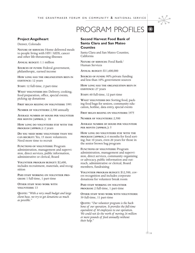### PROGRAM PROFILES  $*$



Denver, Colorado

**NATURE OF SERVICES:** Home delivered meals to people living with HIV/AIDS, cancer and other life-threatening illnesses

**ANNUAL BUDGET:** 1.1 million

**SOURCES OF FUNDS:** Federal government, philanthropic, earned income

**HOW LONG HAS THE ORGANIZATION BEEN IN EXISTENCE:** 12 years

**STAFF:** 12 full-time, 2 part-time

**WHAT VOLUNTEERS DO:** Delivery, cooking, food preparation, office, special events, picking up donations

**FIRST BEGAN RELYING ON VOLUNTEERS:** 1991

**NUMBER OF VOLUNTEERS:** 2,500 annually

**AVERAGE NUMBER OF HOURS PER VOLUNTEER PER MONTH (APPROX.):** 10

**HOW LONG DO VOLUNTEERS STAY WITH THE PROGRAM (APPROX.):** 2 years

**DO YOU NEED MORE VOLUNTEERS THAN YOU CAN RECRUIT:** Yes, 15 more volunteers. Need more time to recruit

**FUNCTIONS OF VOLUNTEERS:** Program administration, management and supervision, direct services, public information, administrative or clerical, Board

**VOLUNTEER PROGRAM BUDGET:** \$2,600, includes recruitment, materials, and recognition

**PAID STAFF WORKING ON VOLUNTEER PRO-GRAM:** 1 full-time, 1 part-time

**OTHER STAFF WHO WORK WITH VOLUNTEERS:** 13

**QUOTE:** *"With a very small budget and large client base, we try to get donations as much as possible."*

**Second Harvest Food Bank of Santa Clara and San Mateo Counties**

Santa Clara and San Mateo Counties, California

**NATURE OF SERVICES:** Food Bank/ Human Services

**ANNUAL BUDGET:** \$11,600,000

**SOURCES OF FUNDS:** 90% private funding and less than 10% government sources

**HOW LONG HAS THE ORGANIZATION BEEN IN EXISTENCE:** 27 years

**STAFF:** 60 full-time, 12 part-time

**WHAT VOLUNTEERS DO:** Sorting food, packing food bags for seniors, community education, hotline, data entry, special events

**FIRST BEGAN RELYING ON VOLUNTEERS:** 1975

**NUMBER OF VOLUNTEERS:** 2,500

**AVERAGE NUMBER OF HOURS PER VOLUNTEER PER MONTH (APPROX.):** 5

**HOW LONG DO VOLUNTEERS STAY WITH THE PROGRAM (APPROX.):** 6 months for food sorting; but 10 years, even 20 years for those in the senior brown bag program

**FUNCTIONS OF VOLUNTEERS:** Program administration, management and supervision, direct services, community organizing or advocacy, public information and outreach, administrative or clerical, Board members, fundraising

**VOLUNTEER PROGRAM BUDGET:** \$12,500, covers recognition and includes corporate donations for volunteer break room

**PAID STAFF WORKING ON VOLUNTEER PROGRAM:** 2 full-time, 1 part-time

**OTHER STAFF WHO WORK WITH VOLUNTEERS:** 59 full-time, 11 part-time

**QUOTE:** *"Our volunteer program is the backbone of our operation. It provides the full-time equivalent of 80 employees to our operation. We could not do the work of moving 26 million or more pounds of food annually without their help."*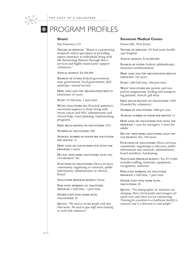

#### **Shanti**

 $*$ 

San Francisco, CA

**NATURE OF SERVICES:** "Shanti is a pioneering nonprofit which specializes in providing expert assistance to individuals living with life-threatening illnesses through direct services and highly-trained peer support volunteers."

**ANNUAL BUDGET:** \$4,500,000

**SOURCES OF FUNDS:** Federal government, state government, local government, philanthropic, earned income

**HOW LONG HAS THE ORGANIZATION BEEN IN EXISTENCE:** 29 years

**STAFF:** 52 full-time, 1 part-time

**WHAT VOLUNTEERS DO:** Practical assistance, emotional support to those living with breast cancer and HIV; administrative and clerical help; event planning, implementing programs.

**FIRST BEGAN RELYING ON VOLUNTEERS:** 1973

**NUMBER OF VOLUNTEERS:** 200

**AVERAGE NUMBER OF HOURS PER VOLUNTEER PER MONTH:** 12

**HOW LONG DO VOLUNTEERS STAY WITH THE PROGRAM:** 3 years

**DO YOU NEED MORE VOLUNTEERS THAN YOU CAN RECRUIT:** Yes

**FUNCTIONS OF VOLUNTEERS:** Direct services, community organizing or outreach, public information, administrative or clerical, Board

**VOLUNTEER PROGRAM BUDGET:** None

**PAID STAFF WORKING ON VOLUNTEER PROGRAM:** 2 full-time, 1 part-time

**OTHER STAFF WHO WORK WITH VOLUNTEERS:** 10

**QUOTE:** *"We need to recruit people with daytime hours. We need to give staff more training to work with volunteers."* 

#### **Somerset Medical Center**

Somerville, New Jersey

**NATURE OF SERVICES:** 355-bed acute health care hospital

**ANNUAL BUDGET:** \$146,000,000

**SOURCES OF FUNDS:** Federal, philanthropic, insurance reimbursement

**HOW LONG HAS THE ORGANIZATION BEEN IN EXISTENCE:** 103 years

**STAFF:** 1400 full-time, 300 part-time

**WHAT VOLUNTEERS DO:** patient and nonpatient assignments, feeding and transporting patients, clerical, gift shop

**FIRST BEGAN RELYING ON VOLUNTEERS:** 1899 (founded by volunteers)

**NUMBER OF VOLUNTEERS:** 1000 per year

**AVERAGE NUMBER OF HOURS PER MONTH:** 13

**HOW LONG DO VOLUNTEERS STAY WITH THE PROGRAM:** 1 year for teenagers, 5 years for adults

**DO YOU NEED MORE VOLUNTEERS THAN YOU CAN RECRUIT:** Yes, 100 more.

**FUNCTIONS OF VOLUNTEERS:** Direct services, community organizing or advocacy, public information and outreach, administrative, board members, fundraising

**VOLUNTEER PROGRAM BUDGET:** Yes, \$172,000 includes staffing, materials, equipment, recognition, uniforms

**PAID STAFF WORKING ON VOLUNTEER PROGRAM:** 3 full-time, 1 part-time

**OTHER STAFF WHO WORK WITH VOLUNTEERS:** 30

**QUOTE:** *"The demographics of volunteers are changing. More retired people and teenagers volunteer now, and others are not volunteering. Training for a position in a healthcare facility is extensive and is a deterrent to some people."*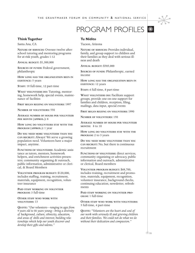### PROGRAM PROFILES **\***



### **Think Together**

Santa Ana, CA

**NATURE OF SERVICES:** Oversee twelve afterschool tutoring and mentoring programs for at-risk youth, grades 1-12

**ANNUAL BUDGET:** \$1,300,000

**SOURCES OF FUNDS:** Federal government, philanthropic

**HOW LONG HAS THE ORGANIZATION BEEN IN EXISTENCE:** 5 years

**STAFF:** 19 full-time, 12 part-time

**WHAT VOLUNTEERS DO:** Tutoring, mentoring, homework help, special events, maintenance of facilities

**FIRST BEGAN RELYING ON VOLUNTEERS:** 1997

**NUMBER OF VOLUNTEERS:** 550

**AVERAGE NUMBER OF HOURS PER VOLUNTEER PER MONTH (APPROX.):** 8

**HOW LONG DO VOLUNTEERS STAY WITH THE PROGRAM (APPROX.):** 1 year

**DO YOU NEED MORE VOLUNTEERS THAN YOU CAN RECRUIT:** Always! We serve a growing population need. Volunteers have a major impact, anytime.

**FUNCTIONS OF VOLUNTEERS:** Academic assistance as tutors, mentors, homework helpers, and enrichment activities presenters; community organizing & outreach, public information, administrative or clerical, & Board Members

**VOLUNTEER PROGRAM BUDGET:** \$120,000, includes staffing, training, recruitment, materials, equipment, recognition, volunteer insurance

**PAID STAFF WORKING ON VOLUNTEER PROGRAM:** 3 full-time

**OTHER STAFF WHO WORK WITH VOLUNTEERS:** 13

**QUOTE:** *"Our volunteers—ranging in ages from 9 years old to 86 years young—bring a diversity of background, culture, ethnicity, education, and areas of skills and interest; building relationships which help our youth discover and develop their gifts and talents."* 

#### **Tu Nidito**

Tucson, Arizona

**NATURE OF SERVICES:** Provides individual, family, and group support to children and their families as they deal with serious illness and death

**ANNUAL BUDGET:** \$585,000

**SOURCES OF FUNDS:** Philanthropic, earned income

**HOW LONG HAS THE ORGANIZATION BEEN IN EXISTENCE:** 12 years

**STAFF:** 6 full-time, 8 part-time

**WHAT VOLUNTEERS DO:** Facilitate support groups, provide one-on-one support for families and children, reception, filing, mailings, data input, special events

**FIRST BEGAN RELYING ON VOLUNTEERS:** 1990

**NUMBER OF VOLUNTEERS:** 150

**AVERAGE NUMBER OF HOURS PER VOLUNTEER MONTH:** 8 to 10

**HOW LONG DO VOLUNTEERS STAY WITH THE PROGRAM:** 2 to 3 years

**DO YOU NEED MORE VOLUNTEERS THAN YOU CAN RECRUIT:** No, but there is continuous recruitment

**FUNCTIONS OF VOLUNTEERS:** direct services, community organizing or advocacy, public information and outreach, administrative or clerical, Board members

**VOLUNTEER PROGRAM BUDGET:** \$68,700, includes training, recruitment and promotion, materials, equipment, recognition, volunteer insurance, background checks, continuing education, newsletter, refreshments

**PAID STAFF WORKING ON VOLUNTEER PRO-GRAM:** 1 full-time

**OTHER STAFF WHO WORK WITH VOLUNTEERS:** 5 full-time, 4 part-time

**QUOTE:** *"Volunteers are the heart and soul of our work with seriously ill and grieving children and their families. We could not do what we do without their dedication and compassion."*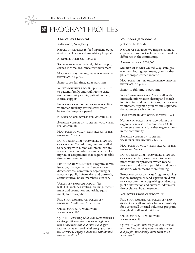# **EXAMPROFILES**

### **The Valley Hospital**

Ridgewood, New Jersey

**NATURE OF SERVICES:** 451-bed inpatient, outpatient, rehabilitation and ambulatory hospital

**ANNUAL BUDGET:** \$295,000,000

**SOURCES OF FUNDS:** Federal, philanthropic, earned income, insurance reimbursement

**HOW LONG HAS THE ORGANIZATION BEEN IN EXISTENCE:** 51 years

**STAFF:** 2,004 full-time, 1,268 part-time

**WHAT VOLUNTEERS DO:** Supportive services to patient, family, and staff. Home visitation, community events, patient contact, clerical support

**FIRST BEGAN RELYING ON VOLUNTEERS:** 1944, volunteer auxiliary started seven years before the hospital opened

**NUMBER OF VOLUNTEERS PER MONTH:** 1,900

**AVERAGE NUMBER OF HOURS PER VOLUNTEER PER MONTH:** 10

**HOW LONG DO VOLUNTEERS STAY WITH THE PROGRAM:** 7 years

**DO YOU NEED MORE VOLUNTEERS THAN YOU CAN RECRUIT:** Yes. Although we are staffed to capacity with junior volunteers, we are always in need of adult volunteers to fill a myriad of assignments that require sizeable time commitments.

**FUNCTIONS OF VOLUNTEERS:** Program administration, management and supervision, direct services, community organizing or advocacy, public information and outreach, administrative, board members, auxiliary

**VOLUNTEER PROGRAM BUDGET:** Yes, \$300,000, includes staffing, training, recruitment and promotion, materials, equipment, and recognition

**PAID STAFF WORKING ON VOLUNTEER PROGRAM:** 5 full-time, 1 part-time

**OTHER STAFF WHO WORK WITH VOLUNTEERS:** 100

**QUOTE:** *"Recruiting adult volunteers remains a challenge. We need to create meaningful roles that utilize their skill and talents and offer short-term projects and job-sharing opportunities as ways to engage individuals with limited time availability."* 

#### **Volunteer Jacksonville**

Jacksonville, Florida

**NATURE OF SERVICES:** We inspire, connect, engage and support volunteers who make a difference in the community.

**ANNUAL BUDGET:** \$700,000

**SOURCES OF FUNDS:** United Way, state government, local government, grants, other philanthropic, earned income

**HOW LONG HAS THE ORGANIZATION BEEN IN EXISTENCE:** 30 years

**STAFF:** 10 full-time, 3 part-time

**WHAT VOLUNTEERS DO:** Assist staff with outreach, information sharing and matching; training and consultations, mentor new volunteers, organize projects and supervise the volunteers who do them

**FIRST BEGAN RELYING ON VOLUNTEERS:** 1973

**NUMBER OF VOLUNTEERS:** 200 within our organization; also we recruit over 10,000 volunteers annually for other organizations in the community.

**AVERAGE NUMBER OF HOURS PER VOLUNTEER PER MONTH:** 4 hours

**HOW LONG DO VOLUNTEERS STAY WITH THE PROGRAM:** Varies

**DO YOU NEED MORE VOLUNTEERS THAN YOU CAN RECRUIT:** No, would need to create more volunteer projects, which means more staff to do the supervision and coordination, which means more funding

**FUNCTIONS OF VOLUNTEERS:** Program administration, management and supervision, direct services, community organizing or advocacy, public information and outreach, administrative or clerical, Board members

**VOLUNTEER PROGRAM BUDGET:** No

**PAID STAFF WORKING ON VOLUNTEER PRO-GRAM:** One staff member has responsibility for our overall internal volunteer program, though all staff work with them.

**OTHER STAFF WHO WORK WITH VOLUNTEERS:** 13

**QUOTE:** *"People mistakenly think that volunteers are free, that they miraculously appear and people miraculously know what to do with them."*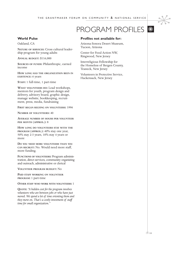# PROGRAM PROFILES **\***



### **World Pulse**

Oakland, CA

**NATURE OF SERVICES:** Cross cultural leadership program for young adults

**ANNUAL BUDGET:** \$116,000

**SOURCES OF FUNDS:** Philanthropic, earned income

**HOW LONG HAS THE ORGANIZATION BEEN IN EXISTENCE:** 6 years

**STAFF:** 1 full-time, 1 part-time

**WHAT VOLUNTEERS DO:** Lead workshops, mentors for youth, program design and delivery, advisory board, graphic design, manage website, bookkeeping, recruitment, press, media, fundraising

**FIRST BEGAN RELYING ON VOLUNTEERS:** 1996

**NUMBER OF VOLUNTEERS:** 40

**AVERAGE NUMBER OF HOURS PER VOLUNTEER PER MONTH (APPROX.):** 8

**HOW LONG DO VOLUNTEERS STAY WITH THE PROGRAM (APPROX.):** 40% stay one year, 50% stay 2-3 years, 10% stay 4 years or more

**DO YOU NEED MORE VOLUNTEERS THAN YOU CAN RECRUIT:** No. Would need more staff, more funding.

**FUNCTIONS OF VOLUNTEERS:** Program administration, direct services, community organizing and outreach, administrative or clerical

**VOLUNTEER PROGRAM BUDGET:** No

**PAID STAFF WORKING ON VOLUNTEER PROGRAM:** 1 part-time

**OTHER STAFF WHO WORK WITH VOLUNTEERS:** 1

**QUOTE:** *"A hidden cost for the program involves volunteers who are between jobs or who have just moved. We spend a lot of time orienting them and they move on. That's a costly investment of staff time for small organization."*

#### **Profiles not available for:**

Arizona-Sonora Desert Museum, Tucson, Arizona

Center for Food Action NW, Ringwood, New Jersey

Interreligious Fellowship for the Homeless of Bergen County, Teaneck, New Jersey

Volunteers in Protective Service, Hackensack, New Jersey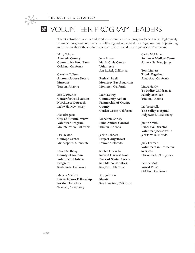

The Grantmaker Forum conducted interviews with the program leaders of 21 high quality volunteer programs. We thank the following individuals and their organizations for providing information about their volunteer s, their services, and their or ganizations' missions .

Mary Schoen **Alameda County Community Food Bank** Oakland, California

Caroline Wilson **Arizona-Sonora Deser t Museum** Tucson, Arizona

Bea O'Rourke **Center for Food Action - Northwest Outreac h** Mahwah, New Jerse y

Rae Blasquez **City of Mountainvie w Volunteer Program** Mountainvie w, California

Lisa Taylor **Cour a ge Center** Minneapolis, Minnesota

Dawn Matheny **County of Sonoma Volunteer & Intern Pr o g ram** Santa Rosa, California

Marsha Macke y **Inter religious Fellowship for the Homeless** Teaneck, New Jerse y

Joan Brown **Marin Civic Center Volunteers** San Rafael, California

Ruth M. Buell **Monter ey Bay Aquarium** Monterey, California

Ruth M. Batell<br>
Monterey Ray Aquarium<br>
Monterey, California<br>
Monterey, California<br>
1 India Hardy<br>
Tu Nâldio Children &<br>
Mark Lowry<br>
Tu Nâldio Children &<br>
Community Action<br>
2 Factors Park (Explicit The Valley Hospital<br>
Grat Mark Lowry **Community Action Partnership of Orang e County** Garden Grove, California

MaryAnn Christy **Pima Animal Control** Tucson, Arizona

Jackie Hibbard **Project Angelhear t** Denver, Colorado

Sophie Horiuchi **Second Har vest Food Bank of Santa Clara & San Mateo Counties** San Jose, California

Kris Johnson **Shanti** San F rancisco, California Cathy McMullen **Somerset Medical Center** Somerville, New Jerse y

Tom Linner t **Think To gether** Santa Ana, California

Linda Hardy **Tu Nidito Children & Family Services** Tucson, Arizona

Liz Tortorella **The Valley Hospital** Ridge wood, New Jerse y

Judith Smith **Executive Director Volunteer Jacksonville** Jacksonville, Florida

Judy Forman **Volunteers in Protectiv e Services** Hackensack, New Jerse y

Bettina Mok **World Pulse** Oakland, California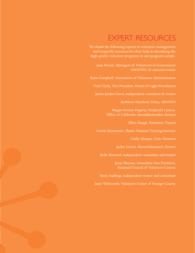## EXPERT RESOURCES

We thank the following experts in volunteer management and nonprofit resources for their help in identifying the high quality volunteer programs in our program sample.

Joan Brown, Managers of Volunteers in Government (MOVING) & national trainer

Katie Campbell, Association of Volunteer Administrators

Vicki Clark, Vice President, Points of Light Foundation

Jackie Jordan Davis, independent consultant & trainer

Kathleen Mandusic Finley, ARNOVA

Megan Swezey Fogarty, Nonprofit Liaison, Office of California Assemblymember Simiani

Ellen Hargis, Volunteer Tucson

Carole Kleinmeier, Shanti National Training Institute

Cathy Maupin, Civic Ventures

Jackie Norris, MetroVolunteers, Denver

Kelle Remmel, independent consultant and trainer

Janet Sharma, Immediate Past President, National Council of Volunteer Centers

Betty Stallings, independent trainer and consultant

Janet Whitcomb, Volunteer Center of Orange County

m